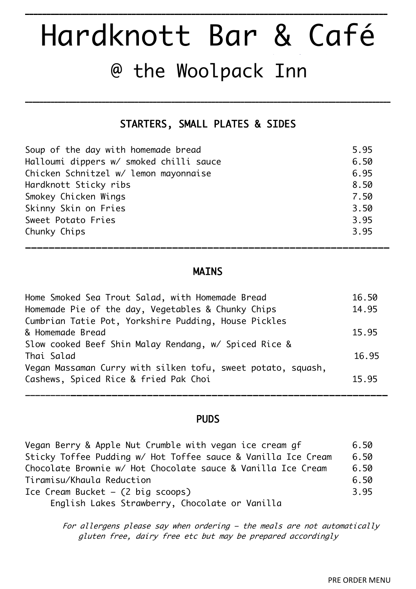# Hardknott Bar & Café @ the Woolpack Inn

**\_\_\_\_\_\_\_\_\_\_\_\_\_\_\_\_\_\_\_\_\_\_\_\_\_\_\_\_\_\_\_\_\_\_\_\_\_\_\_\_\_\_\_\_\_\_\_\_\_\_\_\_\_\_\_\_\_\_\_\_\_\_\_\_\_\_\_\_\_\_\_\_\_\_\_\_\_\_\_\_\_\_\_\_\_**

## STARTERS, SMALL PLATES & SIDES

**\_\_\_\_\_\_\_\_\_\_\_\_\_\_\_\_\_\_\_\_\_\_\_\_\_\_\_\_\_\_\_\_\_\_\_\_\_\_\_\_\_\_\_\_\_\_\_\_\_\_\_\_\_\_\_\_\_\_\_\_\_\_\_\_\_\_\_\_\_\_\_\_\_\_\_\_\_\_\_\_\_\_\_\_\_\_\_\_\_\_\_\_\_\_\_\_\_\_\_\_**

| Soup of the day with homemade bread     | 5.95 |
|-----------------------------------------|------|
| Halloumi dippers w/ smoked chilli sauce | 6.50 |
| Chicken Schnitzel w/ lemon mayonnaise   | 6.95 |
| Hardknott Sticky ribs                   | 8.50 |
| Smokey Chicken Wings                    | 7.50 |
| Skinny Skin on Fries                    | 3.50 |
| Sweet Potato Fries                      | 3.95 |
| Chunky Chips                            | 3.95 |

### MAINS

\_\_\_\_\_\_\_\_\_\_\_\_\_\_\_\_\_\_\_\_\_\_\_\_\_\_\_\_\_\_\_\_\_\_\_\_\_\_\_\_\_\_\_\_\_\_\_\_\_\_\_\_\_\_\_\_\_\_\_\_\_\_

| Home Smoked Sea Trout Salad, with Homemade Bread             | 16.50 |
|--------------------------------------------------------------|-------|
| Homemade Pie of the day, Vegetables & Chunky Chips           | 14.95 |
| Cumbrian Tatie Pot, Yorkshire Pudding, House Pickles         |       |
| & Homemade Bread                                             | 15.95 |
| Slow cooked Beef Shin Malay Rendang, w/ Spiced Rice &        |       |
| Thai Salad                                                   | 16.95 |
| Vegan Massaman Curry with silken tofu, sweet potato, squash, |       |
| Cashews, Spiced Rice & fried Pak Choi                        | 15.95 |
|                                                              |       |

#### PUDS

\_\_\_\_\_\_\_\_\_\_\_\_\_\_\_\_\_\_\_\_\_\_\_\_\_\_\_\_\_\_\_\_\_\_\_\_\_\_\_\_\_\_\_\_\_\_\_\_\_\_\_\_\_\_\_\_\_\_\_\_\_\_\_

| Vegan Berry & Apple Nut Crumble with vegan ice cream gf       | 6.50 |
|---------------------------------------------------------------|------|
| Sticky Toffee Pudding w/ Hot Toffee sauce & Vanilla Ice Cream | 6.50 |
| Chocolate Brownie w/ Hot Chocolate sauce & Vanilla Ice Cream  | 6.50 |
| Tiramisu/Khaula Reduction                                     | 6.50 |
| Ice Cream Bucket $-$ (2 big scoops)                           | 3.95 |
| English Lakes Strawberry, Chocolate or Vanilla                |      |

For allergens please say when ordering – the meals are not automatically gluten free, dairy free etc but may be prepared accordingly